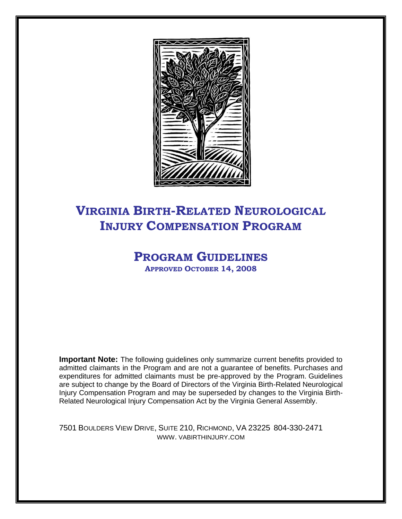

# **VIRGINIA BIRTH-RELATED NEUROLOGICAL INJURY COMPENSATION PROGRAM**

# **PROGRAM GUIDELINES APPROVED OCTOBER 14, 2008**

**Important Note:** The following guidelines only summarize current benefits provided to admitted claimants in the Program and are not a guarantee of benefits. Purchases and expenditures for admitted claimants must be pre-approved by the Program. Guidelines are subject to change by the Board of Directors of the Virginia Birth-Related Neurological Injury Compensation Program and may be superseded by changes to the Virginia Birth-Related Neurological Injury Compensation Act by the Virginia General Assembly.

7501 BOULDERS VIEW DRIVE, SUITE 210, RICHMOND, VA 23225 804-330-2471 WWW. VABIRTHINJURY.COM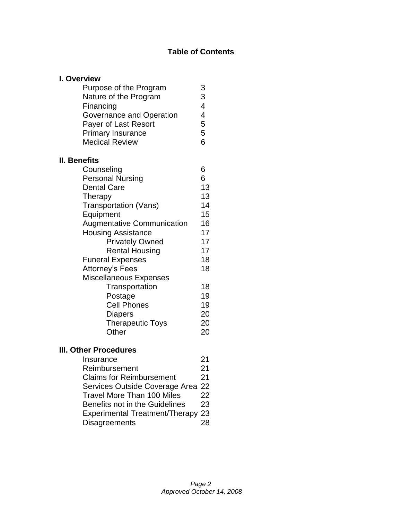# **Table of Contents**

| I. Overview                       |             |
|-----------------------------------|-------------|
| Purpose of the Program            |             |
| Nature of the Program             | 3<br>3<br>4 |
| Financing                         |             |
| Governance and Operation          | 4           |
| Payer of Last Resort              | 5           |
| <b>Primary Insurance</b>          | 5           |
| <b>Medical Review</b>             | 6           |
| <b>II. Benefits</b>               |             |
| Counseling                        | 6           |
| <b>Personal Nursing</b>           | 6           |
| <b>Dental Care</b>                | 13          |
| Therapy                           | 13          |
| <b>Transportation (Vans)</b>      | 14          |
| Equipment                         | 15          |
| <b>Augmentative Communication</b> | 16          |
| <b>Housing Assistance</b>         | 17          |
| <b>Privately Owned</b>            | 17          |
| <b>Rental Housing</b>             | 17          |
| <b>Funeral Expenses</b>           | 18          |
| Attorney's Fees                   | 18          |
| <b>Miscellaneous Expenses</b>     |             |
| Transportation                    | 18          |
| Postage                           | 19          |
| <b>Cell Phones</b>                | 19          |
| <b>Diapers</b>                    | 20          |
| <b>Therapeutic Toys</b>           | 20          |
| Other                             | 20          |
| <b>III. Other Procedures</b>      |             |
| Insurance                         | 21          |

| Insurance                         | 21 |
|-----------------------------------|----|
| Reimbursement                     | 21 |
| <b>Claims for Reimbursement</b>   | 21 |
| Services Outside Coverage Area 22 |    |
| Travel More Than 100 Miles        | 22 |
| Benefits not in the Guidelines    | 23 |
| Experimental Treatment/Therapy 23 |    |
| <b>Disagreements</b>              | 28 |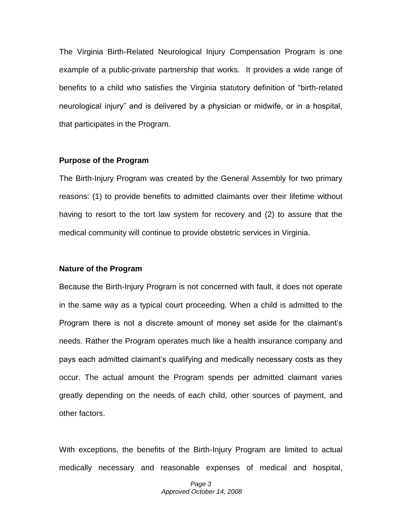The Virginia Birth-Related Neurological Injury Compensation Program is one example of a public-private partnership that works. It provides a wide range of benefits to a child who satisfies the Virginia statutory definition of "birth-related neurological injury" and is delivered by a physician or midwife, or in a hospital, that participates in the Program.

#### **Purpose of the Program**

The Birth-Injury Program was created by the General Assembly for two primary reasons: (1) to provide benefits to admitted claimants over their lifetime without having to resort to the tort law system for recovery and (2) to assure that the medical community will continue to provide obstetric services in Virginia.

#### **Nature of the Program**

Because the Birth-Injury Program is not concerned with fault, it does not operate in the same way as a typical court proceeding. When a child is admitted to the Program there is not a discrete amount of money set aside for the claimant's needs. Rather the Program operates much like a health insurance company and pays each admitted claimant's qualifying and medically necessary costs as they occur. The actual amount the Program spends per admitted claimant varies greatly depending on the needs of each child, other sources of payment, and other factors.

With exceptions, the benefits of the Birth-Injury Program are limited to actual medically necessary and reasonable expenses of medical and hospital,

> *Page 3 Approved October 14, 2008*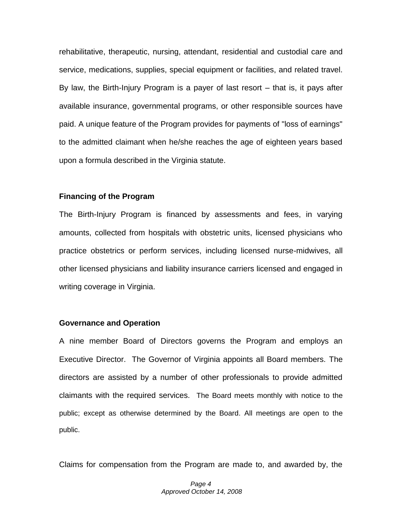rehabilitative, therapeutic, nursing, attendant, residential and custodial care and service, medications, supplies, special equipment or facilities, and related travel. By law, the Birth-Injury Program is a payer of last resort – that is, it pays after available insurance, governmental programs, or other responsible sources have paid. A unique feature of the Program provides for payments of "loss of earnings" to the admitted claimant when he/she reaches the age of eighteen years based upon a formula described in the Virginia statute.

#### **Financing of the Program**

The Birth-Injury Program is financed by assessments and fees, in varying amounts, collected from hospitals with obstetric units, licensed physicians who practice obstetrics or perform services, including licensed nurse-midwives, all other licensed physicians and liability insurance carriers licensed and engaged in writing coverage in Virginia.

#### **Governance and Operation**

A nine member Board of Directors governs the Program and employs an Executive Director. The Governor of Virginia appoints all Board members. The directors are assisted by a number of other professionals to provide admitted claimants with the required services. The Board meets monthly with notice to the public; except as otherwise determined by the Board. All meetings are open to the public.

Claims for compensation from the Program are made to, and awarded by, the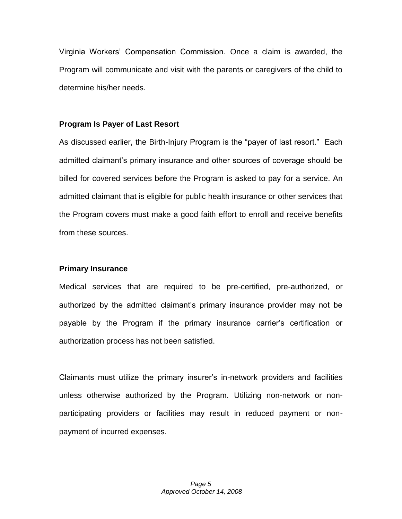Virginia Workers' Compensation Commission. Once a claim is awarded, the Program will communicate and visit with the parents or caregivers of the child to determine his/her needs.

#### **Program Is Payer of Last Resort**

As discussed earlier, the Birth-Injury Program is the "payer of last resort." Each admitted claimant's primary insurance and other sources of coverage should be billed for covered services before the Program is asked to pay for a service. An admitted claimant that is eligible for public health insurance or other services that the Program covers must make a good faith effort to enroll and receive benefits from these sources.

#### **Primary Insurance**

Medical services that are required to be pre-certified, pre-authorized, or authorized by the admitted claimant's primary insurance provider may not be payable by the Program if the primary insurance carrier's certification or authorization process has not been satisfied.

Claimants must utilize the primary insurer's in-network providers and facilities unless otherwise authorized by the Program. Utilizing non-network or nonparticipating providers or facilities may result in reduced payment or nonpayment of incurred expenses.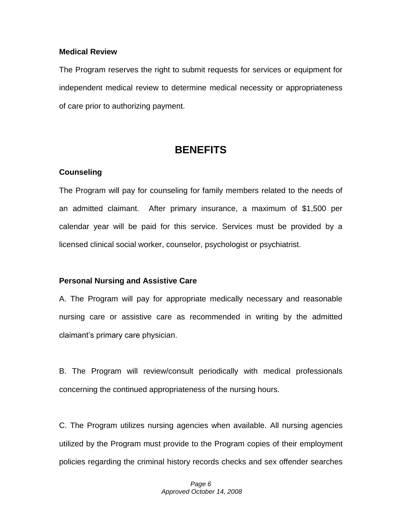#### **Medical Review**

The Program reserves the right to submit requests for services or equipment for independent medical review to determine medical necessity or appropriateness of care prior to authorizing payment.

# **BENEFITS**

### **Counseling**

The Program will pay for counseling for family members related to the needs of an admitted claimant. After primary insurance, a maximum of \$1,500 per calendar year will be paid for this service. Services must be provided by a licensed clinical social worker, counselor, psychologist or psychiatrist.

#### **Personal Nursing and Assistive Care**

A. The Program will pay for appropriate medically necessary and reasonable nursing care or assistive care as recommended in writing by the admitted claimant's primary care physician.

B. The Program will review/consult periodically with medical professionals concerning the continued appropriateness of the nursing hours.

C. The Program utilizes nursing agencies when available. All nursing agencies utilized by the Program must provide to the Program copies of their employment policies regarding the criminal history records checks and sex offender searches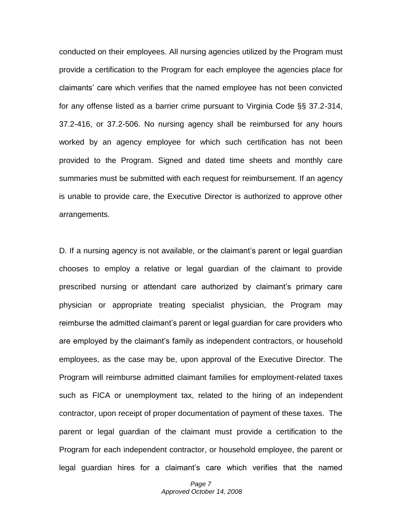conducted on their employees. All nursing agencies utilized by the Program must provide a certification to the Program for each employee the agencies place for claimants' care which verifies that the named employee has not been convicted for any offense listed as a barrier crime pursuant to Virginia Code §§ 37.2-314, 37.2-416, or 37.2-506. No nursing agency shall be reimbursed for any hours worked by an agency employee for which such certification has not been provided to the Program. Signed and dated time sheets and monthly care summaries must be submitted with each request for reimbursement. If an agency is unable to provide care, the Executive Director is authorized to approve other arrangements.

D. If a nursing agency is not available, or the claimant's parent or legal guardian chooses to employ a relative or legal guardian of the claimant to provide prescribed nursing or attendant care authorized by claimant's primary care physician or appropriate treating specialist physician, the Program may reimburse the admitted claimant's parent or legal guardian for care providers who are employed by the claimant's family as independent contractors, or household employees, as the case may be, upon approval of the Executive Director. The Program will reimburse admitted claimant families for employment-related taxes such as FICA or unemployment tax, related to the hiring of an independent contractor, upon receipt of proper documentation of payment of these taxes. The parent or legal guardian of the claimant must provide a certification to the Program for each independent contractor, or household employee, the parent or legal guardian hires for a claimant's care which verifies that the named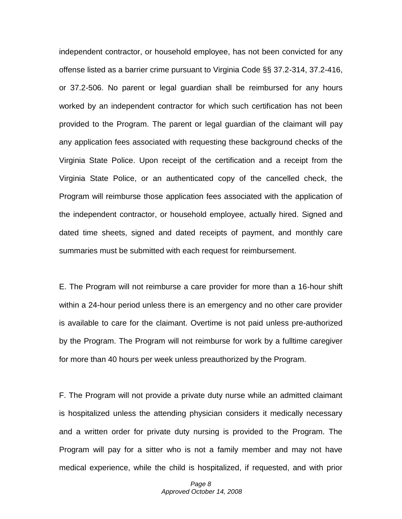independent contractor, or household employee, has not been convicted for any offense listed as a barrier crime pursuant to Virginia Code §§ 37.2-314, 37.2-416, or 37.2-506. No parent or legal guardian shall be reimbursed for any hours worked by an independent contractor for which such certification has not been provided to the Program. The parent or legal guardian of the claimant will pay any application fees associated with requesting these background checks of the Virginia State Police. Upon receipt of the certification and a receipt from the Virginia State Police, or an authenticated copy of the cancelled check, the Program will reimburse those application fees associated with the application of the independent contractor, or household employee, actually hired. Signed and dated time sheets, signed and dated receipts of payment, and monthly care summaries must be submitted with each request for reimbursement.

E. The Program will not reimburse a care provider for more than a 16-hour shift within a 24-hour period unless there is an emergency and no other care provider is available to care for the claimant. Overtime is not paid unless pre-authorized by the Program. The Program will not reimburse for work by a fulltime caregiver for more than 40 hours per week unless preauthorized by the Program.

F. The Program will not provide a private duty nurse while an admitted claimant is hospitalized unless the attending physician considers it medically necessary and a written order for private duty nursing is provided to the Program. The Program will pay for a sitter who is not a family member and may not have medical experience, while the child is hospitalized, if requested, and with prior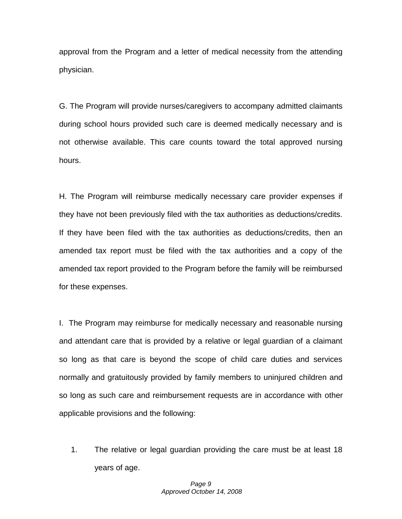approval from the Program and a letter of medical necessity from the attending physician.

G. The Program will provide nurses/caregivers to accompany admitted claimants during school hours provided such care is deemed medically necessary and is not otherwise available. This care counts toward the total approved nursing hours.

H. The Program will reimburse medically necessary care provider expenses if they have not been previously filed with the tax authorities as deductions/credits. If they have been filed with the tax authorities as deductions/credits, then an amended tax report must be filed with the tax authorities and a copy of the amended tax report provided to the Program before the family will be reimbursed for these expenses.

I. The Program may reimburse for medically necessary and reasonable nursing and attendant care that is provided by a relative or legal guardian of a claimant so long as that care is beyond the scope of child care duties and services normally and gratuitously provided by family members to uninjured children and so long as such care and reimbursement requests are in accordance with other applicable provisions and the following:

1. The relative or legal guardian providing the care must be at least 18 years of age.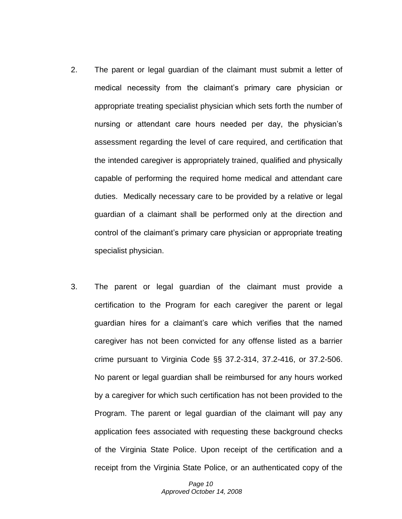- 2. The parent or legal guardian of the claimant must submit a letter of medical necessity from the claimant's primary care physician or appropriate treating specialist physician which sets forth the number of nursing or attendant care hours needed per day, the physician's assessment regarding the level of care required, and certification that the intended caregiver is appropriately trained, qualified and physically capable of performing the required home medical and attendant care duties. Medically necessary care to be provided by a relative or legal guardian of a claimant shall be performed only at the direction and control of the claimant's primary care physician or appropriate treating specialist physician.
- 3. The parent or legal guardian of the claimant must provide a certification to the Program for each caregiver the parent or legal guardian hires for a claimant's care which verifies that the named caregiver has not been convicted for any offense listed as a barrier crime pursuant to Virginia Code §§ 37.2-314, 37.2-416, or 37.2-506. No parent or legal guardian shall be reimbursed for any hours worked by a caregiver for which such certification has not been provided to the Program. The parent or legal guardian of the claimant will pay any application fees associated with requesting these background checks of the Virginia State Police. Upon receipt of the certification and a receipt from the Virginia State Police, or an authenticated copy of the

*Page 10 Approved October 14, 2008*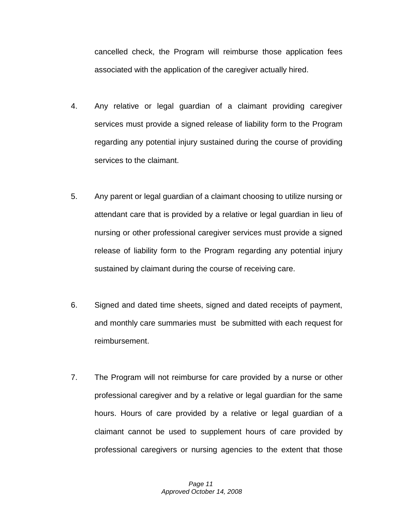cancelled check, the Program will reimburse those application fees associated with the application of the caregiver actually hired.

- 4. Any relative or legal guardian of a claimant providing caregiver services must provide a signed release of liability form to the Program regarding any potential injury sustained during the course of providing services to the claimant.
- 5. Any parent or legal guardian of a claimant choosing to utilize nursing or attendant care that is provided by a relative or legal guardian in lieu of nursing or other professional caregiver services must provide a signed release of liability form to the Program regarding any potential injury sustained by claimant during the course of receiving care.
- 6. Signed and dated time sheets, signed and dated receipts of payment, and monthly care summaries must be submitted with each request for reimbursement.
- 7. The Program will not reimburse for care provided by a nurse or other professional caregiver and by a relative or legal guardian for the same hours. Hours of care provided by a relative or legal guardian of a claimant cannot be used to supplement hours of care provided by professional caregivers or nursing agencies to the extent that those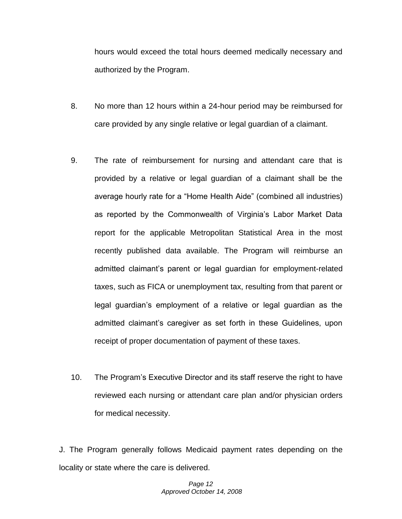hours would exceed the total hours deemed medically necessary and authorized by the Program.

- 8. No more than 12 hours within a 24-hour period may be reimbursed for care provided by any single relative or legal guardian of a claimant.
- 9. The rate of reimbursement for nursing and attendant care that is provided by a relative or legal guardian of a claimant shall be the average hourly rate for a "Home Health Aide" (combined all industries) as reported by the Commonwealth of Virginia's Labor Market Data report for the applicable Metropolitan Statistical Area in the most recently published data available. The Program will reimburse an admitted claimant's parent or legal guardian for employment-related taxes, such as FICA or unemployment tax, resulting from that parent or legal guardian's employment of a relative or legal guardian as the admitted claimant's caregiver as set forth in these Guidelines, upon receipt of proper documentation of payment of these taxes.
- 10. The Program's Executive Director and its staff reserve the right to have reviewed each nursing or attendant care plan and/or physician orders for medical necessity.

J. The Program generally follows Medicaid payment rates depending on the locality or state where the care is delivered.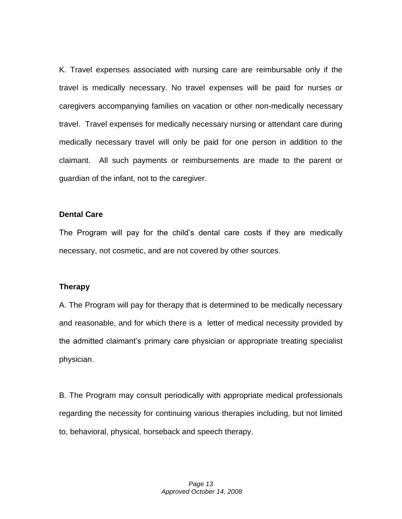K. Travel expenses associated with nursing care are reimbursable only if the travel is medically necessary. No travel expenses will be paid for nurses or caregivers accompanying families on vacation or other non-medically necessary travel. Travel expenses for medically necessary nursing or attendant care during medically necessary travel will only be paid for one person in addition to the claimant. All such payments or reimbursements are made to the parent or guardian of the infant, not to the caregiver.

#### **Dental Care**

The Program will pay for the child's dental care costs if they are medically necessary, not cosmetic, and are not covered by other sources.

#### **Therapy**

A. The Program will pay for therapy that is determined to be medically necessary and reasonable, and for which there is a letter of medical necessity provided by the admitted claimant's primary care physician or appropriate treating specialist physician.

B. The Program may consult periodically with appropriate medical professionals regarding the necessity for continuing various therapies including, but not limited to, behavioral, physical, horseback and speech therapy.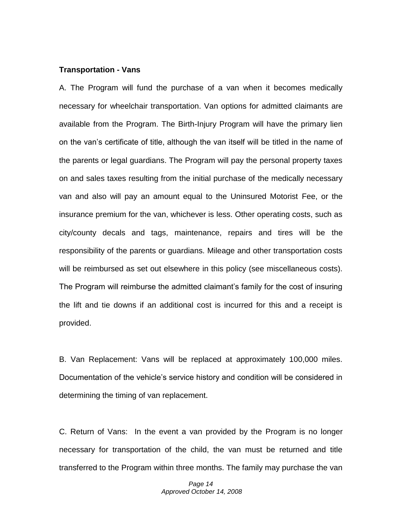#### **Transportation - Vans**

A. The Program will fund the purchase of a van when it becomes medically necessary for wheelchair transportation. Van options for admitted claimants are available from the Program. The Birth-Injury Program will have the primary lien on the van's certificate of title, although the van itself will be titled in the name of the parents or legal guardians. The Program will pay the personal property taxes on and sales taxes resulting from the initial purchase of the medically necessary van and also will pay an amount equal to the Uninsured Motorist Fee, or the insurance premium for the van, whichever is less. Other operating costs, such as city/county decals and tags, maintenance, repairs and tires will be the responsibility of the parents or guardians. Mileage and other transportation costs will be reimbursed as set out elsewhere in this policy (see miscellaneous costs). The Program will reimburse the admitted claimant's family for the cost of insuring the lift and tie downs if an additional cost is incurred for this and a receipt is provided.

B. Van Replacement: Vans will be replaced at approximately 100,000 miles. Documentation of the vehicle's service history and condition will be considered in determining the timing of van replacement.

C. Return of Vans: In the event a van provided by the Program is no longer necessary for transportation of the child, the van must be returned and title transferred to the Program within three months. The family may purchase the van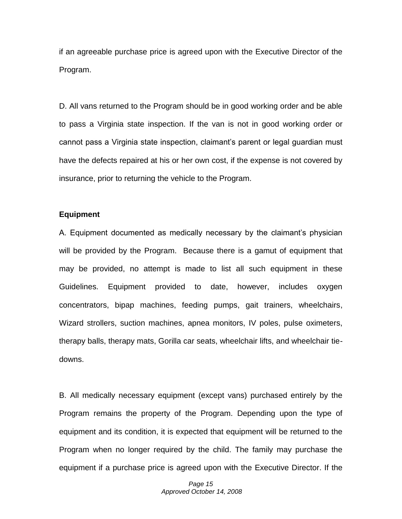if an agreeable purchase price is agreed upon with the Executive Director of the Program.

D. All vans returned to the Program should be in good working order and be able to pass a Virginia state inspection. If the van is not in good working order or cannot pass a Virginia state inspection, claimant's parent or legal guardian must have the defects repaired at his or her own cost, if the expense is not covered by insurance, prior to returning the vehicle to the Program.

#### **Equipment**

A. Equipment documented as medically necessary by the claimant's physician will be provided by the Program. Because there is a gamut of equipment that may be provided, no attempt is made to list all such equipment in these Guidelines. Equipment provided to date, however, includes oxygen concentrators, bipap machines, feeding pumps, gait trainers, wheelchairs, Wizard strollers, suction machines, apnea monitors, IV poles, pulse oximeters, therapy balls, therapy mats, Gorilla car seats, wheelchair lifts, and wheelchair tiedowns.

B. All medically necessary equipment (except vans) purchased entirely by the Program remains the property of the Program. Depending upon the type of equipment and its condition, it is expected that equipment will be returned to the Program when no longer required by the child. The family may purchase the equipment if a purchase price is agreed upon with the Executive Director. If the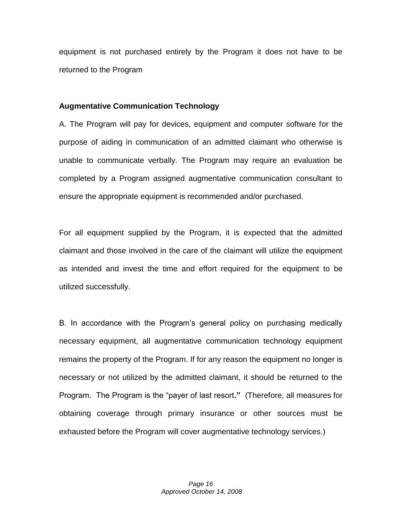equipment is not purchased entirely by the Program it does not have to be returned to the Program

#### **Augmentative Communication Technology**

A. The Program will pay for devices, equipment and computer software for the purpose of aiding in communication of an admitted claimant who otherwise is unable to communicate verbally. The Program may require an evaluation be completed by a Program assigned augmentative communication consultant to ensure the appropriate equipment is recommended and/or purchased.

For all equipment supplied by the Program, it is expected that the admitted claimant and those involved in the care of the claimant will utilize the equipment as intended and invest the time and effort required for the equipment to be utilized successfully.

B. In accordance with the Program's general policy on purchasing medically necessary equipment, all augmentative communication technology equipment remains the property of the Program. If for any reason the equipment no longer is necessary or not utilized by the admitted claimant, it should be returned to the Program. The Program is the "payer of last resort**."** (Therefore, all measures for obtaining coverage through primary insurance or other sources must be exhausted before the Program will cover augmentative technology services.)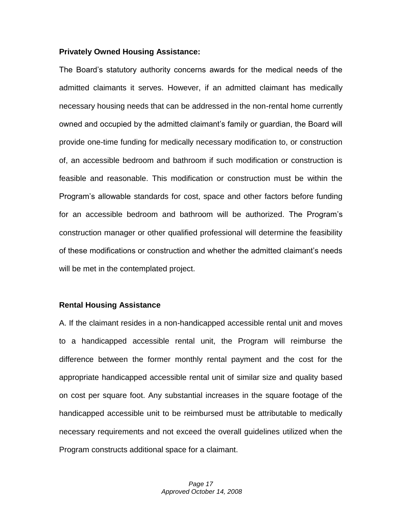#### **Privately Owned Housing Assistance:**

The Board's statutory authority concerns awards for the medical needs of the admitted claimants it serves. However, if an admitted claimant has medically necessary housing needs that can be addressed in the non-rental home currently owned and occupied by the admitted claimant's family or guardian, the Board will provide one-time funding for medically necessary modification to, or construction of, an accessible bedroom and bathroom if such modification or construction is feasible and reasonable. This modification or construction must be within the Program's allowable standards for cost, space and other factors before funding for an accessible bedroom and bathroom will be authorized. The Program's construction manager or other qualified professional will determine the feasibility of these modifications or construction and whether the admitted claimant's needs will be met in the contemplated project.

#### **Rental Housing Assistance**

A. If the claimant resides in a non-handicapped accessible rental unit and moves to a handicapped accessible rental unit, the Program will reimburse the difference between the former monthly rental payment and the cost for the appropriate handicapped accessible rental unit of similar size and quality based on cost per square foot. Any substantial increases in the square footage of the handicapped accessible unit to be reimbursed must be attributable to medically necessary requirements and not exceed the overall guidelines utilized when the Program constructs additional space for a claimant.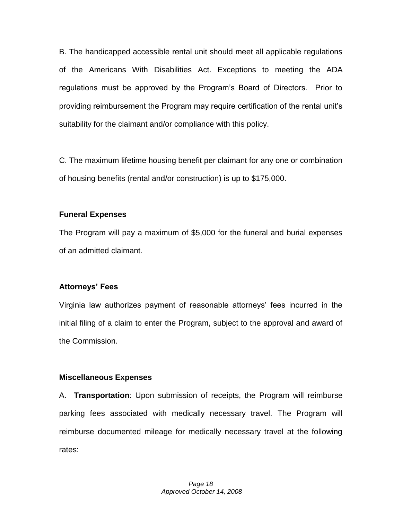B. The handicapped accessible rental unit should meet all applicable regulations of the Americans With Disabilities Act. Exceptions to meeting the ADA regulations must be approved by the Program's Board of Directors. Prior to providing reimbursement the Program may require certification of the rental unit's suitability for the claimant and/or compliance with this policy.

C. The maximum lifetime housing benefit per claimant for any one or combination of housing benefits (rental and/or construction) is up to \$175,000.

### **Funeral Expenses**

The Program will pay a maximum of \$5,000 for the funeral and burial expenses of an admitted claimant.

# **Attorneys' Fees**

Virginia law authorizes payment of reasonable attorneys' fees incurred in the initial filing of a claim to enter the Program, subject to the approval and award of the Commission.

# **Miscellaneous Expenses**

A. **Transportation**: Upon submission of receipts, the Program will reimburse parking fees associated with medically necessary travel. The Program will reimburse documented mileage for medically necessary travel at the following rates: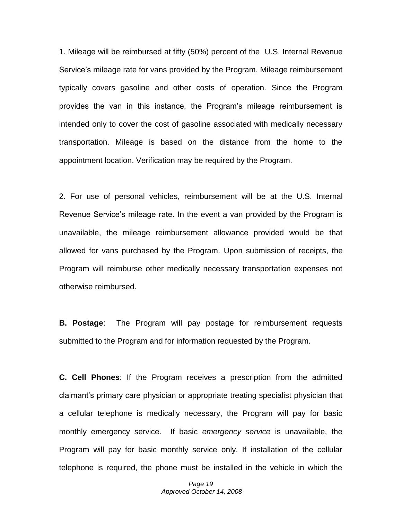1. Mileage will be reimbursed at fifty (50%) percent of the U.S. Internal Revenue Service's mileage rate for vans provided by the Program. Mileage reimbursement typically covers gasoline and other costs of operation. Since the Program provides the van in this instance, the Program's mileage reimbursement is intended only to cover the cost of gasoline associated with medically necessary transportation. Mileage is based on the distance from the home to the appointment location. Verification may be required by the Program.

2. For use of personal vehicles, reimbursement will be at the U.S. Internal Revenue Service's mileage rate. In the event a van provided by the Program is unavailable, the mileage reimbursement allowance provided would be that allowed for vans purchased by the Program. Upon submission of receipts, the Program will reimburse other medically necessary transportation expenses not otherwise reimbursed.

**B. Postage**: The Program will pay postage for reimbursement requests submitted to the Program and for information requested by the Program.

**C. Cell Phones**: If the Program receives a prescription from the admitted claimant's primary care physician or appropriate treating specialist physician that a cellular telephone is medically necessary, the Program will pay for basic monthly emergency service. If basic *emergency service* is unavailable, the Program will pay for basic monthly service only. If installation of the cellular telephone is required, the phone must be installed in the vehicle in which the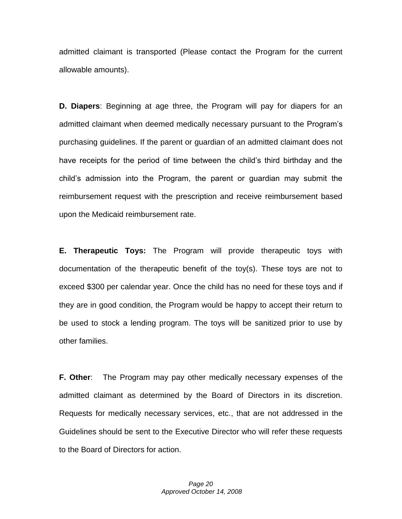admitted claimant is transported (Please contact the Program for the current allowable amounts).

**D. Diapers**: Beginning at age three, the Program will pay for diapers for an admitted claimant when deemed medically necessary pursuant to the Program's purchasing guidelines. If the parent or guardian of an admitted claimant does not have receipts for the period of time between the child's third birthday and the child's admission into the Program, the parent or guardian may submit the reimbursement request with the prescription and receive reimbursement based upon the Medicaid reimbursement rate.

**E. Therapeutic Toys:** The Program will provide therapeutic toys with documentation of the therapeutic benefit of the toy(s). These toys are not to exceed \$300 per calendar year. Once the child has no need for these toys and if they are in good condition, the Program would be happy to accept their return to be used to stock a lending program. The toys will be sanitized prior to use by other families.

**F. Other**: The Program may pay other medically necessary expenses of the admitted claimant as determined by the Board of Directors in its discretion. Requests for medically necessary services, etc., that are not addressed in the Guidelines should be sent to the Executive Director who will refer these requests to the Board of Directors for action.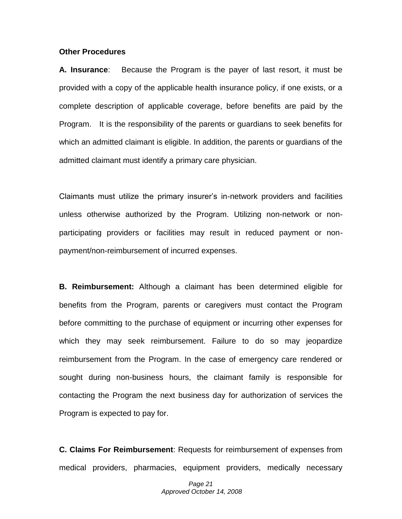#### **Other Procedures**

**A. Insurance**: Because the Program is the payer of last resort, it must be provided with a copy of the applicable health insurance policy, if one exists, or a complete description of applicable coverage, before benefits are paid by the Program. It is the responsibility of the parents or guardians to seek benefits for which an admitted claimant is eligible. In addition, the parents or guardians of the admitted claimant must identify a primary care physician.

Claimants must utilize the primary insurer's in-network providers and facilities unless otherwise authorized by the Program. Utilizing non-network or nonparticipating providers or facilities may result in reduced payment or nonpayment/non-reimbursement of incurred expenses.

**B. Reimbursement:** Although a claimant has been determined eligible for benefits from the Program, parents or caregivers must contact the Program before committing to the purchase of equipment or incurring other expenses for which they may seek reimbursement. Failure to do so may jeopardize reimbursement from the Program. In the case of emergency care rendered or sought during non-business hours, the claimant family is responsible for contacting the Program the next business day for authorization of services the Program is expected to pay for.

**C. Claims For Reimbursement**: Requests for reimbursement of expenses from medical providers, pharmacies, equipment providers, medically necessary

> *Page 21 Approved October 14, 2008*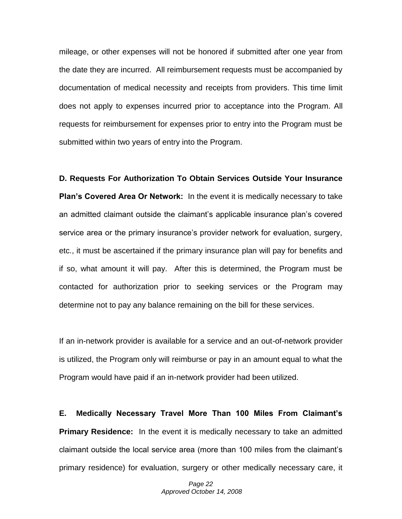mileage, or other expenses will not be honored if submitted after one year from the date they are incurred. All reimbursement requests must be accompanied by documentation of medical necessity and receipts from providers. This time limit does not apply to expenses incurred prior to acceptance into the Program. All requests for reimbursement for expenses prior to entry into the Program must be submitted within two years of entry into the Program.

**D. Requests For Authorization To Obtain Services Outside Your Insurance Plan's Covered Area Or Network:** In the event it is medically necessary to take an admitted claimant outside the claimant's applicable insurance plan's covered service area or the primary insurance's provider network for evaluation, surgery, etc., it must be ascertained if the primary insurance plan will pay for benefits and if so, what amount it will pay. After this is determined, the Program must be contacted for authorization prior to seeking services or the Program may determine not to pay any balance remaining on the bill for these services.

If an in-network provider is available for a service and an out-of-network provider is utilized, the Program only will reimburse or pay in an amount equal to what the Program would have paid if an in-network provider had been utilized.

**E. Medically Necessary Travel More Than 100 Miles From Claimant's Primary Residence:** In the event it is medically necessary to take an admitted claimant outside the local service area (more than 100 miles from the claimant's primary residence) for evaluation, surgery or other medically necessary care, it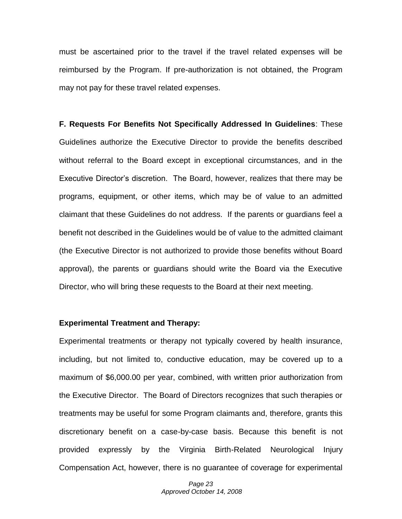must be ascertained prior to the travel if the travel related expenses will be reimbursed by the Program. If pre-authorization is not obtained, the Program may not pay for these travel related expenses.

**F. Requests For Benefits Not Specifically Addressed In Guidelines**: These Guidelines authorize the Executive Director to provide the benefits described without referral to the Board except in exceptional circumstances, and in the Executive Director's discretion. The Board, however, realizes that there may be programs, equipment, or other items, which may be of value to an admitted claimant that these Guidelines do not address. If the parents or guardians feel a benefit not described in the Guidelines would be of value to the admitted claimant (the Executive Director is not authorized to provide those benefits without Board approval), the parents or guardians should write the Board via the Executive Director, who will bring these requests to the Board at their next meeting.

#### **Experimental Treatment and Therapy:**

Experimental treatments or therapy not typically covered by health insurance, including, but not limited to, conductive education, may be covered up to a maximum of \$6,000.00 per year, combined, with written prior authorization from the Executive Director. The Board of Directors recognizes that such therapies or treatments may be useful for some Program claimants and, therefore, grants this discretionary benefit on a case-by-case basis. Because this benefit is not provided expressly by the Virginia Birth-Related Neurological Injury Compensation Act, however, there is no guarantee of coverage for experimental

> *Page 23 Approved October 14, 2008*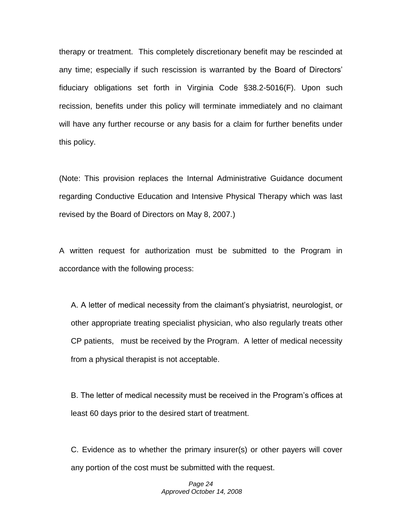therapy or treatment. This completely discretionary benefit may be rescinded at any time; especially if such rescission is warranted by the Board of Directors' fiduciary obligations set forth in Virginia Code §38.2-5016(F). Upon such recission, benefits under this policy will terminate immediately and no claimant will have any further recourse or any basis for a claim for further benefits under this policy.

(Note: This provision replaces the Internal Administrative Guidance document regarding Conductive Education and Intensive Physical Therapy which was last revised by the Board of Directors on May 8, 2007.)

A written request for authorization must be submitted to the Program in accordance with the following process:

A. A letter of medical necessity from the claimant's physiatrist, neurologist, or other appropriate treating specialist physician, who also regularly treats other CP patients, must be received by the Program. A letter of medical necessity from a physical therapist is not acceptable.

B. The letter of medical necessity must be received in the Program's offices at least 60 days prior to the desired start of treatment.

C. Evidence as to whether the primary insurer(s) or other payers will cover any portion of the cost must be submitted with the request.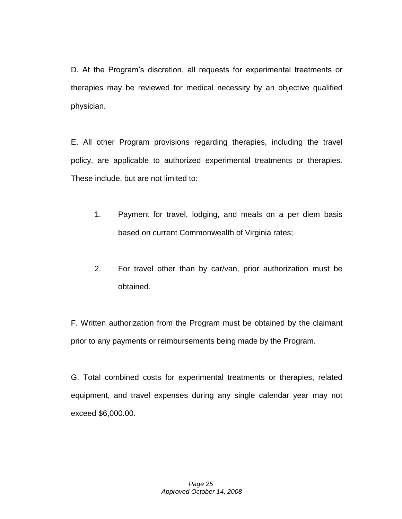D. At the Program's discretion, all requests for experimental treatments or therapies may be reviewed for medical necessity by an objective qualified physician.

E. All other Program provisions regarding therapies, including the travel policy, are applicable to authorized experimental treatments or therapies. These include, but are not limited to:

- 1. Payment for travel, lodging, and meals on a per diem basis based on current Commonwealth of Virginia rates;
- 2. For travel other than by car/van, prior authorization must be obtained.

F. Written authorization from the Program must be obtained by the claimant prior to any payments or reimbursements being made by the Program.

G. Total combined costs for experimental treatments or therapies, related equipment, and travel expenses during any single calendar year may not exceed \$6,000.00.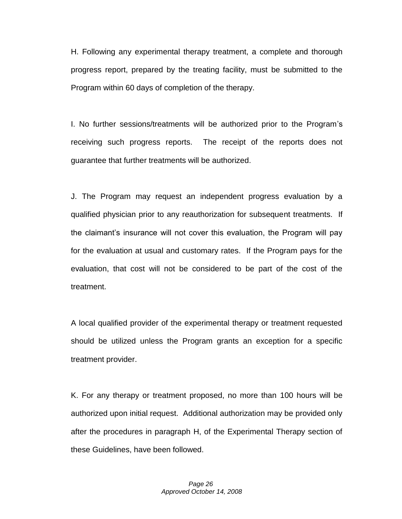H. Following any experimental therapy treatment, a complete and thorough progress report, prepared by the treating facility, must be submitted to the Program within 60 days of completion of the therapy.

I. No further sessions/treatments will be authorized prior to the Program's receiving such progress reports. The receipt of the reports does not guarantee that further treatments will be authorized.

J. The Program may request an independent progress evaluation by a qualified physician prior to any reauthorization for subsequent treatments. If the claimant's insurance will not cover this evaluation, the Program will pay for the evaluation at usual and customary rates. If the Program pays for the evaluation, that cost will not be considered to be part of the cost of the treatment.

A local qualified provider of the experimental therapy or treatment requested should be utilized unless the Program grants an exception for a specific treatment provider.

K. For any therapy or treatment proposed, no more than 100 hours will be authorized upon initial request. Additional authorization may be provided only after the procedures in paragraph H, of the Experimental Therapy section of these Guidelines, have been followed.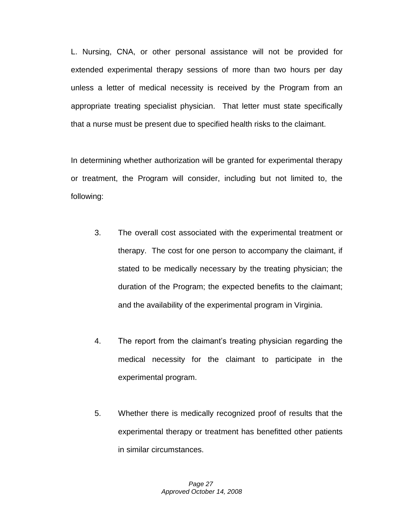L. Nursing, CNA, or other personal assistance will not be provided for extended experimental therapy sessions of more than two hours per day unless a letter of medical necessity is received by the Program from an appropriate treating specialist physician. That letter must state specifically that a nurse must be present due to specified health risks to the claimant.

In determining whether authorization will be granted for experimental therapy or treatment, the Program will consider, including but not limited to, the following:

- 3. The overall cost associated with the experimental treatment or therapy. The cost for one person to accompany the claimant, if stated to be medically necessary by the treating physician; the duration of the Program; the expected benefits to the claimant; and the availability of the experimental program in Virginia.
- 4. The report from the claimant's treating physician regarding the medical necessity for the claimant to participate in the experimental program.
- 5. Whether there is medically recognized proof of results that the experimental therapy or treatment has benefitted other patients in similar circumstances.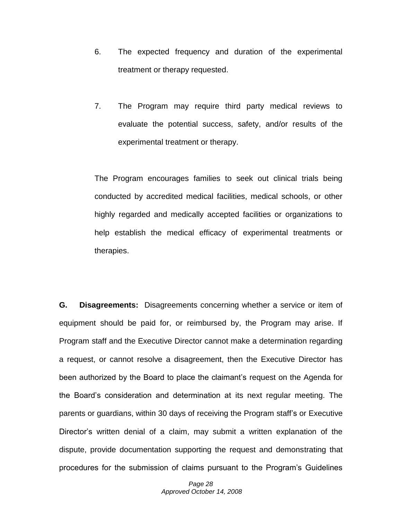- 6. The expected frequency and duration of the experimental treatment or therapy requested.
- 7. The Program may require third party medical reviews to evaluate the potential success, safety, and/or results of the experimental treatment or therapy.

The Program encourages families to seek out clinical trials being conducted by accredited medical facilities, medical schools, or other highly regarded and medically accepted facilities or organizations to help establish the medical efficacy of experimental treatments or therapies.

**G. Disagreements:** Disagreements concerning whether a service or item of equipment should be paid for, or reimbursed by, the Program may arise. If Program staff and the Executive Director cannot make a determination regarding a request, or cannot resolve a disagreement, then the Executive Director has been authorized by the Board to place the claimant's request on the Agenda for the Board's consideration and determination at its next regular meeting. The parents or guardians, within 30 days of receiving the Program staff's or Executive Director's written denial of a claim, may submit a written explanation of the dispute, provide documentation supporting the request and demonstrating that procedures for the submission of claims pursuant to the Program's Guidelines